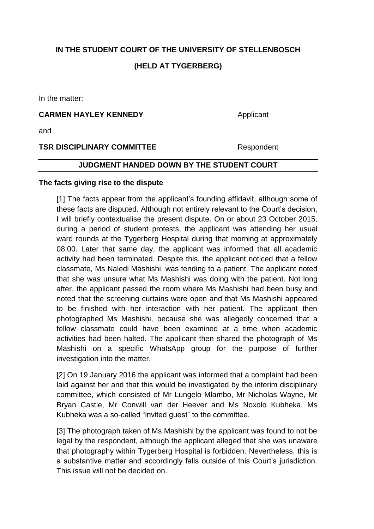# **IN THE STUDENT COURT OF THE UNIVERSITY OF STELLENBOSCH**

# **(HELD AT TYGERBERG)**

In the matter:

#### **CARMEN HAYLEY KENNEDY** Applicant

and

#### **TSR DISCIPLINARY COMMITTEE** Respondent

## **JUDGMENT HANDED DOWN BY THE STUDENT COURT**

#### **The facts giving rise to the dispute**

[1] The facts appear from the applicant's founding affidavit, although some of these facts are disputed. Although not entirely relevant to the Court's decision, I will briefly contextualise the present dispute. On or about 23 October 2015, during a period of student protests, the applicant was attending her usual ward rounds at the Tygerberg Hospital during that morning at approximately 08:00. Later that same day, the applicant was informed that all academic activity had been terminated. Despite this, the applicant noticed that a fellow classmate, Ms Naledi Mashishi, was tending to a patient. The applicant noted that she was unsure what Ms Mashishi was doing with the patient. Not long after, the applicant passed the room where Ms Mashishi had been busy and noted that the screening curtains were open and that Ms Mashishi appeared to be finished with her interaction with her patient. The applicant then photographed Ms Mashishi, because she was allegedly concerned that a fellow classmate could have been examined at a time when academic activities had been halted. The applicant then shared the photograph of Ms Mashishi on a specific WhatsApp group for the purpose of further investigation into the matter.

[2] On 19 January 2016 the applicant was informed that a complaint had been laid against her and that this would be investigated by the interim disciplinary committee, which consisted of Mr Lungelo Mlambo, Mr Nicholas Wayne, Mr Bryan Castle, Mr Conwill van der Heever and Ms Noxolo Kubheka. Ms Kubheka was a so-called "invited guest" to the committee.

[3] The photograph taken of Ms Mashishi by the applicant was found to not be legal by the respondent, although the applicant alleged that she was unaware that photography within Tygerberg Hospital is forbidden. Nevertheless, this is a substantive matter and accordingly falls outside of this Court's jurisdiction. This issue will not be decided on.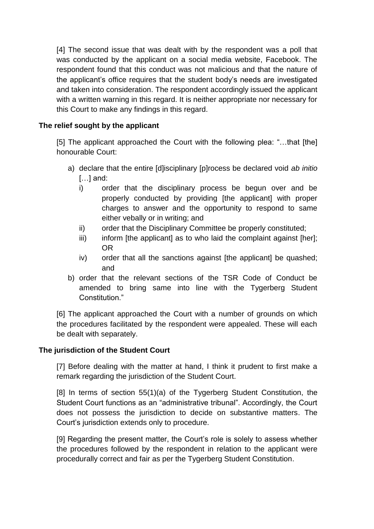[4] The second issue that was dealt with by the respondent was a poll that was conducted by the applicant on a social media website, Facebook. The respondent found that this conduct was not malicious and that the nature of the applicant's office requires that the student body's needs are investigated and taken into consideration. The respondent accordingly issued the applicant with a written warning in this regard. It is neither appropriate nor necessary for this Court to make any findings in this regard.

# **The relief sought by the applicant**

[5] The applicant approached the Court with the following plea: "...that [the] honourable Court:

- a) declare that the entire [d]isciplinary [p]rocess be declared void *ab initio*  […] and:
	- i) order that the disciplinary process be begun over and be properly conducted by providing [the applicant] with proper charges to answer and the opportunity to respond to same either vebally or in writing; and
	- ii) order that the Disciplinary Committee be properly constituted;
	- $\overline{ii}$  inform [the applicant] as to who laid the complaint against [her]; OR
	- iv) order that all the sanctions against [the applicant] be quashed; and
- b) order that the relevant sections of the TSR Code of Conduct be amended to bring same into line with the Tygerberg Student Constitution."

[6] The applicant approached the Court with a number of grounds on which the procedures facilitated by the respondent were appealed. These will each be dealt with separately.

## **The jurisdiction of the Student Court**

[7] Before dealing with the matter at hand, I think it prudent to first make a remark regarding the jurisdiction of the Student Court.

[8] In terms of section 55(1)(a) of the Tygerberg Student Constitution, the Student Court functions as an "administrative tribunal". Accordingly, the Court does not possess the jurisdiction to decide on substantive matters. The Court's jurisdiction extends only to procedure.

[9] Regarding the present matter, the Court's role is solely to assess whether the procedures followed by the respondent in relation to the applicant were procedurally correct and fair as per the Tygerberg Student Constitution.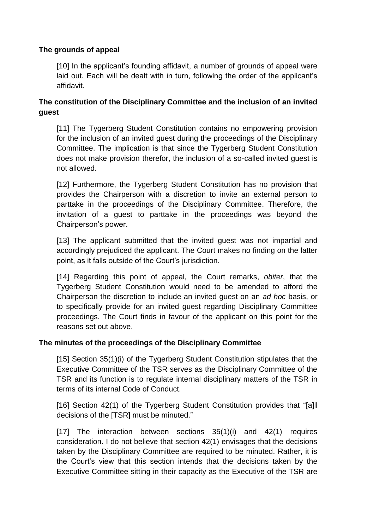#### **The grounds of appeal**

[10] In the applicant's founding affidavit, a number of grounds of appeal were laid out. Each will be dealt with in turn, following the order of the applicant's affidavit.

# **The constitution of the Disciplinary Committee and the inclusion of an invited guest**

[11] The Tygerberg Student Constitution contains no empowering provision for the inclusion of an invited guest during the proceedings of the Disciplinary Committee. The implication is that since the Tygerberg Student Constitution does not make provision therefor, the inclusion of a so-called invited guest is not allowed.

[12] Furthermore, the Tygerberg Student Constitution has no provision that provides the Chairperson with a discretion to invite an external person to parttake in the proceedings of the Disciplinary Committee. Therefore, the invitation of a guest to parttake in the proceedings was beyond the Chairperson's power.

[13] The applicant submitted that the invited guest was not impartial and accordingly prejudiced the applicant. The Court makes no finding on the latter point, as it falls outside of the Court's jurisdiction.

[14] Regarding this point of appeal, the Court remarks, *obiter*, that the Tygerberg Student Constitution would need to be amended to afford the Chairperson the discretion to include an invited guest on an *ad hoc* basis, or to specifically provide for an invited guest regarding Disciplinary Committee proceedings. The Court finds in favour of the applicant on this point for the reasons set out above.

## **The minutes of the proceedings of the Disciplinary Committee**

[15] Section 35(1)(i) of the Tygerberg Student Constitution stipulates that the Executive Committee of the TSR serves as the Disciplinary Committee of the TSR and its function is to regulate internal disciplinary matters of the TSR in terms of its internal Code of Conduct.

[16] Section 42(1) of the Tygerberg Student Constitution provides that "[a]ll decisions of the [TSR] must be minuted."

[17] The interaction between sections 35(1)(i) and 42(1) requires consideration. I do not believe that section 42(1) envisages that the decisions taken by the Disciplinary Committee are required to be minuted. Rather, it is the Court's view that this section intends that the decisions taken by the Executive Committee sitting in their capacity as the Executive of the TSR are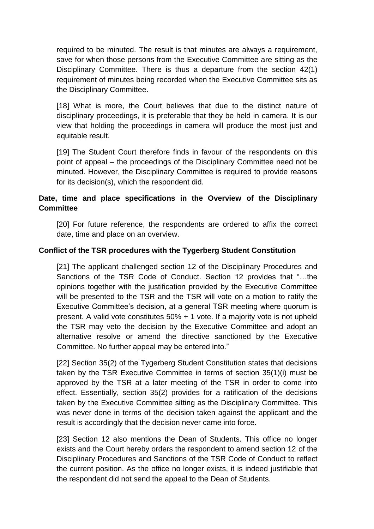required to be minuted. The result is that minutes are always a requirement, save for when those persons from the Executive Committee are sitting as the Disciplinary Committee. There is thus a departure from the section 42(1) requirement of minutes being recorded when the Executive Committee sits as the Disciplinary Committee.

[18] What is more, the Court believes that due to the distinct nature of disciplinary proceedings, it is preferable that they be held in camera. It is our view that holding the proceedings in camera will produce the most just and equitable result.

[19] The Student Court therefore finds in favour of the respondents on this point of appeal – the proceedings of the Disciplinary Committee need not be minuted. However, the Disciplinary Committee is required to provide reasons for its decision(s), which the respondent did.

# **Date, time and place specifications in the Overview of the Disciplinary Committee**

[20] For future reference, the respondents are ordered to affix the correct date, time and place on an overview.

## **Conflict of the TSR procedures with the Tygerberg Student Constitution**

[21] The applicant challenged section 12 of the Disciplinary Procedures and Sanctions of the TSR Code of Conduct. Section 12 provides that "…the opinions together with the justification provided by the Executive Committee will be presented to the TSR and the TSR will vote on a motion to ratify the Executive Committee's decision, at a general TSR meeting where quorum is present. A valid vote constitutes 50% + 1 vote. If a majority vote is not upheld the TSR may veto the decision by the Executive Committee and adopt an alternative resolve or amend the directive sanctioned by the Executive Committee. No further appeal may be entered into."

[22] Section 35(2) of the Tygerberg Student Constitution states that decisions taken by the TSR Executive Committee in terms of section 35(1)(i) must be approved by the TSR at a later meeting of the TSR in order to come into effect. Essentially, section 35(2) provides for a ratification of the decisions taken by the Executive Committee sitting as the Disciplinary Committee. This was never done in terms of the decision taken against the applicant and the result is accordingly that the decision never came into force.

[23] Section 12 also mentions the Dean of Students. This office no longer exists and the Court hereby orders the respondent to amend section 12 of the Disciplinary Procedures and Sanctions of the TSR Code of Conduct to reflect the current position. As the office no longer exists, it is indeed justifiable that the respondent did not send the appeal to the Dean of Students.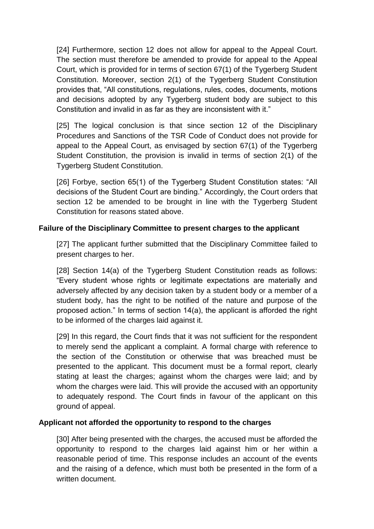[24] Furthermore, section 12 does not allow for appeal to the Appeal Court. The section must therefore be amended to provide for appeal to the Appeal Court, which is provided for in terms of section 67(1) of the Tygerberg Student Constitution. Moreover, section 2(1) of the Tygerberg Student Constitution provides that, "All constitutions, regulations, rules, codes, documents, motions and decisions adopted by any Tygerberg student body are subject to this Constitution and invalid in as far as they are inconsistent with it."

[25] The logical conclusion is that since section 12 of the Disciplinary Procedures and Sanctions of the TSR Code of Conduct does not provide for appeal to the Appeal Court, as envisaged by section 67(1) of the Tygerberg Student Constitution, the provision is invalid in terms of section 2(1) of the Tygerberg Student Constitution.

[26] Forbye, section 65(1) of the Tygerberg Student Constitution states: "All decisions of the Student Court are binding." Accordingly, the Court orders that section 12 be amended to be brought in line with the Tygerberg Student Constitution for reasons stated above.

## **Failure of the Disciplinary Committee to present charges to the applicant**

[27] The applicant further submitted that the Disciplinary Committee failed to present charges to her.

[28] Section 14(a) of the Tygerberg Student Constitution reads as follows: "Every student whose rights or legitimate expectations are materially and adversely affected by any decision taken by a student body or a member of a student body, has the right to be notified of the nature and purpose of the proposed action." In terms of section 14(a), the applicant is afforded the right to be informed of the charges laid against it.

[29] In this regard, the Court finds that it was not sufficient for the respondent to merely send the applicant a complaint. A formal charge with reference to the section of the Constitution or otherwise that was breached must be presented to the applicant. This document must be a formal report, clearly stating at least the charges; against whom the charges were laid; and by whom the charges were laid. This will provide the accused with an opportunity to adequately respond. The Court finds in favour of the applicant on this ground of appeal.

## **Applicant not afforded the opportunity to respond to the charges**

[30] After being presented with the charges, the accused must be afforded the opportunity to respond to the charges laid against him or her within a reasonable period of time. This response includes an account of the events and the raising of a defence, which must both be presented in the form of a written document.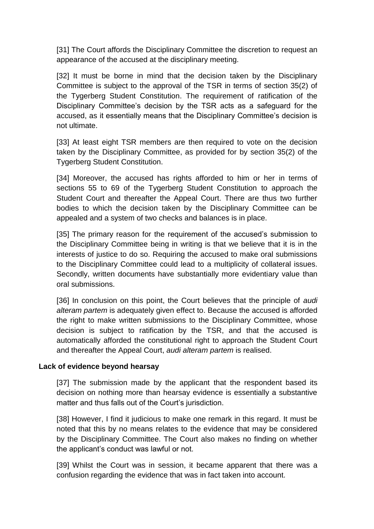[31] The Court affords the Disciplinary Committee the discretion to request an appearance of the accused at the disciplinary meeting.

[32] It must be borne in mind that the decision taken by the Disciplinary Committee is subject to the approval of the TSR in terms of section 35(2) of the Tygerberg Student Constitution. The requirement of ratification of the Disciplinary Committee's decision by the TSR acts as a safeguard for the accused, as it essentially means that the Disciplinary Committee's decision is not ultimate.

[33] At least eight TSR members are then required to vote on the decision taken by the Disciplinary Committee, as provided for by section 35(2) of the Tygerberg Student Constitution.

[34] Moreover, the accused has rights afforded to him or her in terms of sections 55 to 69 of the Tygerberg Student Constitution to approach the Student Court and thereafter the Appeal Court. There are thus two further bodies to which the decision taken by the Disciplinary Committee can be appealed and a system of two checks and balances is in place.

[35] The primary reason for the requirement of the accused's submission to the Disciplinary Committee being in writing is that we believe that it is in the interests of justice to do so. Requiring the accused to make oral submissions to the Disciplinary Committee could lead to a multiplicity of collateral issues. Secondly, written documents have substantially more evidentiary value than oral submissions.

[36] In conclusion on this point, the Court believes that the principle of *audi alteram partem* is adequately given effect to. Because the accused is afforded the right to make written submissions to the Disciplinary Committee, whose decision is subject to ratification by the TSR, and that the accused is automatically afforded the constitutional right to approach the Student Court and thereafter the Appeal Court, *audi alteram partem* is realised.

#### **Lack of evidence beyond hearsay**

[37] The submission made by the applicant that the respondent based its decision on nothing more than hearsay evidence is essentially a substantive matter and thus falls out of the Court's jurisdiction.

[38] However, I find it judicious to make one remark in this regard. It must be noted that this by no means relates to the evidence that may be considered by the Disciplinary Committee. The Court also makes no finding on whether the applicant's conduct was lawful or not.

[39] Whilst the Court was in session, it became apparent that there was a confusion regarding the evidence that was in fact taken into account.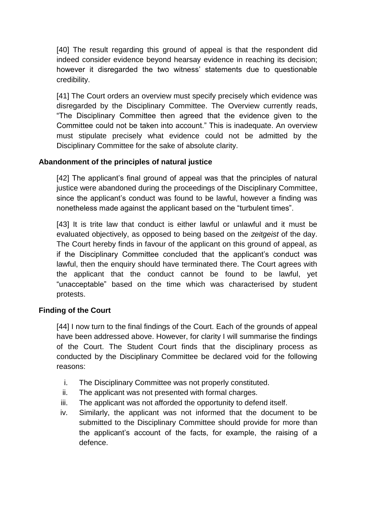[40] The result regarding this ground of appeal is that the respondent did indeed consider evidence beyond hearsay evidence in reaching its decision; however it disregarded the two witness' statements due to questionable credibility.

[41] The Court orders an overview must specify precisely which evidence was disregarded by the Disciplinary Committee. The Overview currently reads, "The Disciplinary Committee then agreed that the evidence given to the Committee could not be taken into account." This is inadequate. An overview must stipulate precisely what evidence could not be admitted by the Disciplinary Committee for the sake of absolute clarity.

## **Abandonment of the principles of natural justice**

[42] The applicant's final ground of appeal was that the principles of natural justice were abandoned during the proceedings of the Disciplinary Committee, since the applicant's conduct was found to be lawful, however a finding was nonetheless made against the applicant based on the "turbulent times".

[43] It is trite law that conduct is either lawful or unlawful and it must be evaluated objectively, as opposed to being based on the *zeitgeist* of the day. The Court hereby finds in favour of the applicant on this ground of appeal, as if the Disciplinary Committee concluded that the applicant's conduct was lawful, then the enquiry should have terminated there. The Court agrees with the applicant that the conduct cannot be found to be lawful, yet "unacceptable" based on the time which was characterised by student protests.

## **Finding of the Court**

[44] I now turn to the final findings of the Court. Each of the grounds of appeal have been addressed above. However, for clarity I will summarise the findings of the Court. The Student Court finds that the disciplinary process as conducted by the Disciplinary Committee be declared void for the following reasons:

- i. The Disciplinary Committee was not properly constituted.
- ii. The applicant was not presented with formal charges.
- iii. The applicant was not afforded the opportunity to defend itself.
- iv. Similarly, the applicant was not informed that the document to be submitted to the Disciplinary Committee should provide for more than the applicant's account of the facts, for example, the raising of a defence.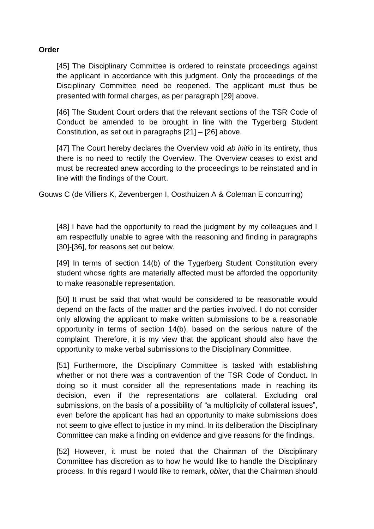#### **Order**

[45] The Disciplinary Committee is ordered to reinstate proceedings against the applicant in accordance with this judgment. Only the proceedings of the Disciplinary Committee need be reopened. The applicant must thus be presented with formal charges, as per paragraph [29] above.

[46] The Student Court orders that the relevant sections of the TSR Code of Conduct be amended to be brought in line with the Tygerberg Student Constitution, as set out in paragraphs [21] – [26] above.

[47] The Court hereby declares the Overview void *ab initio* in its entirety, thus there is no need to rectify the Overview. The Overview ceases to exist and must be recreated anew according to the proceedings to be reinstated and in line with the findings of the Court.

Gouws C (de Villiers K, Zevenbergen I, Oosthuizen A & Coleman E concurring)

[48] I have had the opportunity to read the judgment by my colleagues and I am respectfully unable to agree with the reasoning and finding in paragraphs [30]-[36], for reasons set out below.

[49] In terms of section 14(b) of the Tygerberg Student Constitution every student whose rights are materially affected must be afforded the opportunity to make reasonable representation.

[50] It must be said that what would be considered to be reasonable would depend on the facts of the matter and the parties involved. I do not consider only allowing the applicant to make written submissions to be a reasonable opportunity in terms of section 14(b), based on the serious nature of the complaint. Therefore, it is my view that the applicant should also have the opportunity to make verbal submissions to the Disciplinary Committee.

[51] Furthermore, the Disciplinary Committee is tasked with establishing whether or not there was a contravention of the TSR Code of Conduct. In doing so it must consider all the representations made in reaching its decision, even if the representations are collateral. Excluding oral submissions, on the basis of a possibility of "a multiplicity of collateral issues", even before the applicant has had an opportunity to make submissions does not seem to give effect to justice in my mind. In its deliberation the Disciplinary Committee can make a finding on evidence and give reasons for the findings.

[52] However, it must be noted that the Chairman of the Disciplinary Committee has discretion as to how he would like to handle the Disciplinary process. In this regard I would like to remark, *obiter*, that the Chairman should